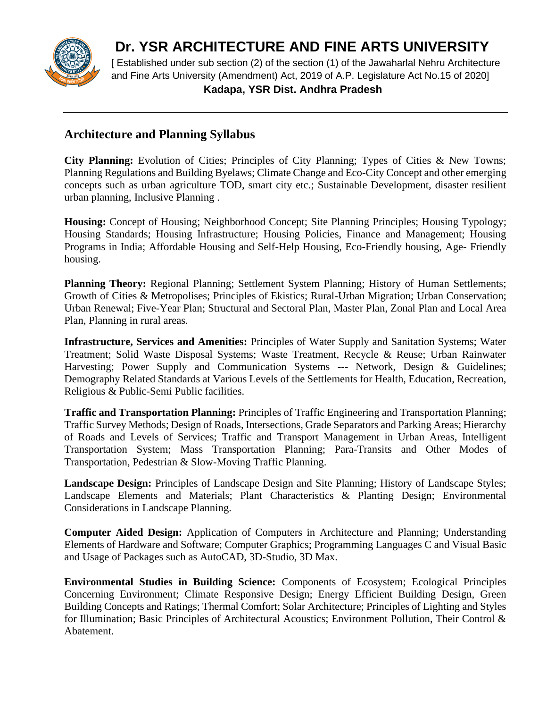

**Dr. YSR ARCHITECTURE AND FINE ARTS UNIVERSITY**

[ Established under sub section (2) of the section (1) of the Jawaharlal Nehru Architecture and Fine Arts University (Amendment) Act, 2019 of A.P. Legislature Act No.15 of 2020]  **Kadapa, YSR Dist. Andhra Pradesh**

## **Architecture and Planning Syllabus**

**City Planning:** Evolution of Cities; Principles of City Planning; Types of Cities & New Towns; Planning Regulations and Building Byelaws; Climate Change and Eco-City Concept and other emerging concepts such as urban agriculture TOD, smart city etc.; Sustainable Development, disaster resilient urban planning, Inclusive Planning .

**Housing:** Concept of Housing; Neighborhood Concept; Site Planning Principles; Housing Typology; Housing Standards; Housing Infrastructure; Housing Policies, Finance and Management; Housing Programs in India; Affordable Housing and Self-Help Housing, Eco-Friendly housing, Age- Friendly housing.

**Planning Theory:** Regional Planning; Settlement System Planning; History of Human Settlements; Growth of Cities & Metropolises; Principles of Ekistics; Rural-Urban Migration; Urban Conservation; Urban Renewal; Five-Year Plan; Structural and Sectoral Plan, Master Plan, Zonal Plan and Local Area Plan, Planning in rural areas.

**Infrastructure, Services and Amenities:** Principles of Water Supply and Sanitation Systems; Water Treatment; Solid Waste Disposal Systems; Waste Treatment, Recycle & Reuse; Urban Rainwater Harvesting; Power Supply and Communication Systems --- Network, Design & Guidelines; Demography Related Standards at Various Levels of the Settlements for Health, Education, Recreation, Religious & Public-Semi Public facilities.

**Traffic and Transportation Planning:** Principles of Traffic Engineering and Transportation Planning; Traffic Survey Methods; Design of Roads, Intersections, Grade Separators and Parking Areas; Hierarchy of Roads and Levels of Services; Traffic and Transport Management in Urban Areas, Intelligent Transportation System; Mass Transportation Planning; Para-Transits and Other Modes of Transportation, Pedestrian & Slow-Moving Traffic Planning.

**Landscape Design:** Principles of Landscape Design and Site Planning; History of Landscape Styles; Landscape Elements and Materials; Plant Characteristics & Planting Design; Environmental Considerations in Landscape Planning.

**Computer Aided Design:** Application of Computers in Architecture and Planning; Understanding Elements of Hardware and Software; Computer Graphics; Programming Languages C and Visual Basic and Usage of Packages such as AutoCAD, 3D-Studio, 3D Max.

**Environmental Studies in Building Science:** Components of Ecosystem; Ecological Principles Concerning Environment; Climate Responsive Design; Energy Efficient Building Design, Green Building Concepts and Ratings; Thermal Comfort; Solar Architecture; Principles of Lighting and Styles for Illumination; Basic Principles of Architectural Acoustics; Environment Pollution, Their Control & Abatement.